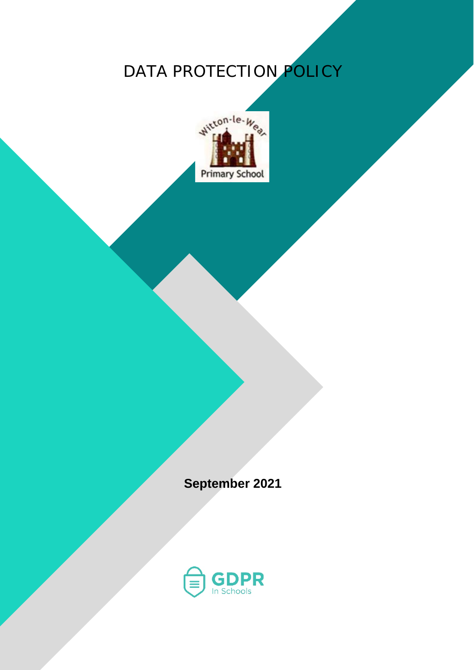# DATA PROTECTION POLICY



**September 2021**

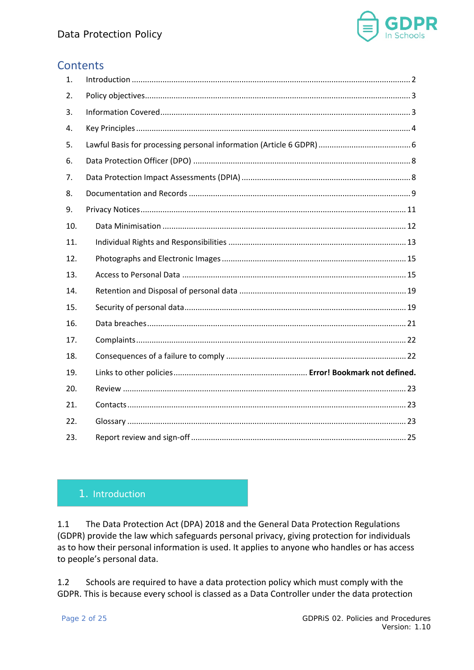

# **Contents**

| 1.  |  |
|-----|--|
| 2.  |  |
| 3.  |  |
| 4.  |  |
| 5.  |  |
| 6.  |  |
| 7.  |  |
| 8.  |  |
| 9.  |  |
| 10. |  |
| 11. |  |
| 12. |  |
| 13. |  |
| 14. |  |
| 15. |  |
| 16. |  |
| 17. |  |
| 18. |  |
| 19. |  |
| 20. |  |
| 21. |  |
| 22. |  |
| 23. |  |

# <span id="page-1-0"></span>1. Introduction

1.1 The Data Protection Act (DPA) 2018 and the General Data Protection Regulations (GDPR) provide the law which safeguards personal privacy, giving protection for individuals as to how their personal information is used. It applies to anyone who handles or has access to people's personal data.

1.2 Schools are required to have a data protection policy which must comply with the GDPR. This is because every school is classed as a Data Controller under the data protection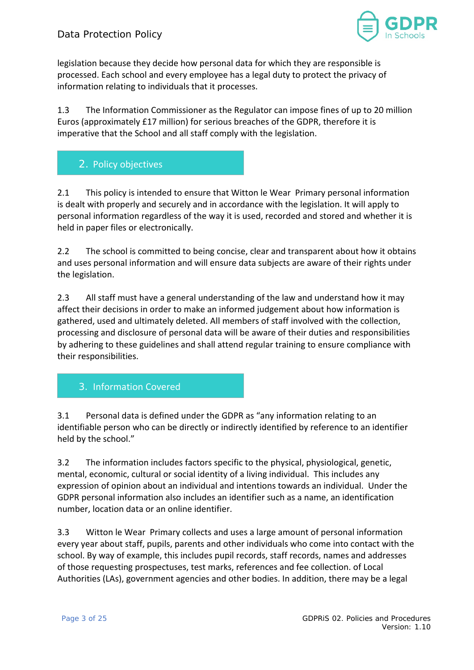

legislation because they decide how personal data for which they are responsible is processed. Each school and every employee has a legal duty to protect the privacy of information relating to individuals that it processes.

1.3 The Information Commissioner as the Regulator can impose fines of up to 20 million Euros (approximately £17 million) for serious breaches of the GDPR, therefore it is imperative that the School and all staff comply with the legislation.

# <span id="page-2-0"></span>2. Policy objectives

2.1 This policy is intended to ensure that Witton le Wear Primary personal information is dealt with properly and securely and in accordance with the legislation. It will apply to personal information regardless of the way it is used, recorded and stored and whether it is held in paper files or electronically.

2.2 The school is committed to being concise, clear and transparent about how it obtains and uses personal information and will ensure data subjects are aware of their rights under the legislation.

2.3 All staff must have a general understanding of the law and understand how it may affect their decisions in order to make an informed judgement about how information is gathered, used and ultimately deleted. All members of staff involved with the collection, processing and disclosure of personal data will be aware of their duties and responsibilities by adhering to these guidelines and shall attend regular training to ensure compliance with their responsibilities.

# <span id="page-2-1"></span>3. Information Covered

3.1 Personal data is defined under the GDPR as "any information relating to an identifiable person who can be directly or indirectly identified by reference to an identifier held by the school."

3.2 The information includes factors specific to the physical, physiological, genetic, mental, economic, cultural or social identity of a living individual. This includes any expression of opinion about an individual and intentions towards an individual. Under the GDPR personal information also includes an identifier such as a name, an identification number, location data or an online identifier.

3.3 Witton le Wear Primary collects and uses a large amount of personal information every year about staff, pupils, parents and other individuals who come into contact with the school. By way of example, this includes pupil records, staff records, names and addresses of those requesting prospectuses, test marks, references and fee collection. of Local Authorities (LAs), government agencies and other bodies. In addition, there may be a legal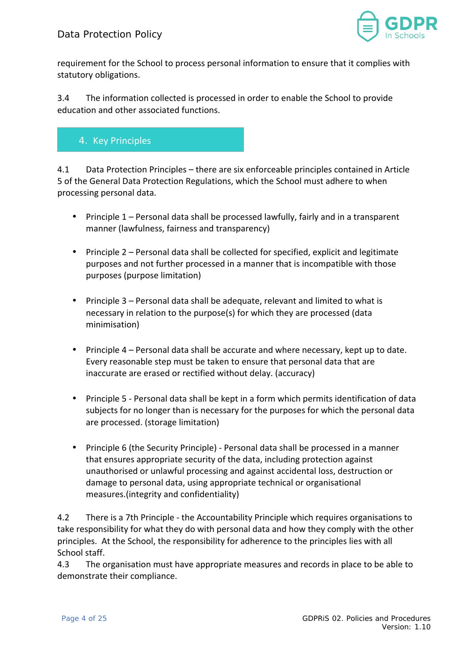

requirement for the School to process personal information to ensure that it complies with statutory obligations.

3.4 The information collected is processed in order to enable the School to provide education and other associated functions.

# <span id="page-3-0"></span>4. Key Principles

4.1 Data Protection Principles – there are six enforceable principles contained in Article 5 of the General Data Protection Regulations, which the School must adhere to when processing personal data.

- Principle 1 Personal data shall be processed lawfully, fairly and in a transparent manner (lawfulness, fairness and transparency)
- Principle 2 Personal data shall be collected for specified, explicit and legitimate purposes and not further processed in a manner that is incompatible with those purposes (purpose limitation)
- Principle 3 Personal data shall be adequate, relevant and limited to what is necessary in relation to the purpose(s) for which they are processed (data minimisation)
- Principle 4 Personal data shall be accurate and where necessary, kept up to date. Every reasonable step must be taken to ensure that personal data that are inaccurate are erased or rectified without delay. (accuracy)
- Principle 5 Personal data shall be kept in a form which permits identification of data subjects for no longer than is necessary for the purposes for which the personal data are processed. (storage limitation)
- Principle 6 (the Security Principle) Personal data shall be processed in a manner that ensures appropriate security of the data, including protection against unauthorised or unlawful processing and against accidental loss, destruction or damage to personal data, using appropriate technical or organisational measures.(integrity and confidentiality)

4.2 There is a 7th Principle - the Accountability Principle which requires organisations to take responsibility for what they do with personal data and how they comply with the other principles. At the School, the responsibility for adherence to the principles lies with all School staff.

4.3 The organisation must have appropriate measures and records in place to be able to demonstrate their compliance.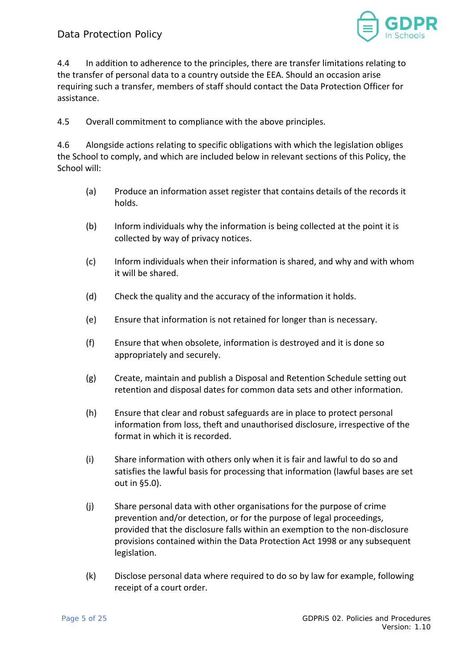

4.4 In addition to adherence to the principles, there are transfer limitations relating to the transfer of personal data to a country outside the EEA. Should an occasion arise requiring such a transfer, members of staff should contact the Data Protection Officer for assistance.

4.5 Overall commitment to compliance with the above principles.

4.6 Alongside actions relating to specific obligations with which the legislation obliges the School to comply, and which are included below in relevant sections of this Policy, the School will:

- (a) Produce an information asset register that contains details of the records it holds.
- (b) Inform individuals why the information is being collected at the point it is collected by way of privacy notices.
- (c) Inform individuals when their information is shared, and why and with whom it will be shared.
- (d) Check the quality and the accuracy of the information it holds.
- (e) Ensure that information is not retained for longer than is necessary.
- (f) Ensure that when obsolete, information is destroyed and it is done so appropriately and securely.
- (g) Create, maintain and publish a Disposal and Retention Schedule setting out retention and disposal dates for common data sets and other information.
- (h) Ensure that clear and robust safeguards are in place to protect personal information from loss, theft and unauthorised disclosure, irrespective of the format in which it is recorded.
- (i) Share information with others only when it is fair and lawful to do so and satisfies the lawful basis for processing that information (lawful bases are set out in §5.0).
- (j) Share personal data with other organisations for the purpose of crime prevention and/or detection, or for the purpose of legal proceedings, provided that the disclosure falls within an exemption to the non-disclosure provisions contained within the Data Protection Act 1998 or any subsequent legislation.
- (k) Disclose personal data where required to do so by law for example, following receipt of a court order.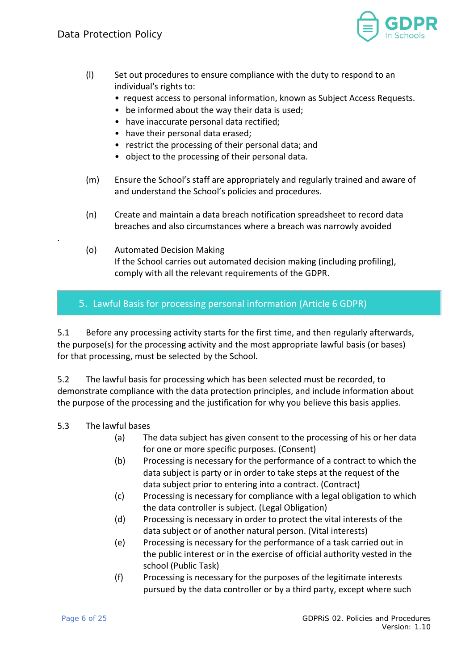

- (l) Set out procedures to ensure compliance with the duty to respond to an individual's rights to:
	- request access to personal information, known as Subject Access Requests.
	- be informed about the way their data is used;
	- have inaccurate personal data rectified;
	- have their personal data erased;
	- restrict the processing of their personal data; and
	- object to the processing of their personal data.
- (m) Ensure the School's staff are appropriately and regularly trained and aware of and understand the School's policies and procedures.
- (n) Create and maintain a data breach notification spreadsheet to record data breaches and also circumstances where a breach was narrowly avoided
- (o) Automated Decision Making If the School carries out automated decision making (including profiling), comply with all the relevant requirements of the GDPR.

# <span id="page-5-0"></span>5. Lawful Basis for processing personal information (Article 6 GDPR)

5.1 Before any processing activity starts for the first time, and then regularly afterwards, the purpose(s) for the processing activity and the most appropriate lawful basis (or bases) for that processing, must be selected by the School.

5.2 The lawful basis for processing which has been selected must be recorded, to demonstrate compliance with the data protection principles, and include information about the purpose of the processing and the justification for why you believe this basis applies.

## 5.3 The lawful bases

.

- (a) The data subject has given consent to the processing of his or her data for one or more specific purposes. (Consent)
- (b) Processing is necessary for the performance of a contract to which the data subject is party or in order to take steps at the request of the data subject prior to entering into a contract. (Contract)
- (c) Processing is necessary for compliance with a legal obligation to which the data controller is subject. (Legal Obligation)
- (d) Processing is necessary in order to protect the vital interests of the data subject or of another natural person. (Vital interests)
- (e) Processing is necessary for the performance of a task carried out in the public interest or in the exercise of official authority vested in the school (Public Task)
- (f) Processing is necessary for the purposes of the legitimate interests pursued by the data controller or by a third party, except where such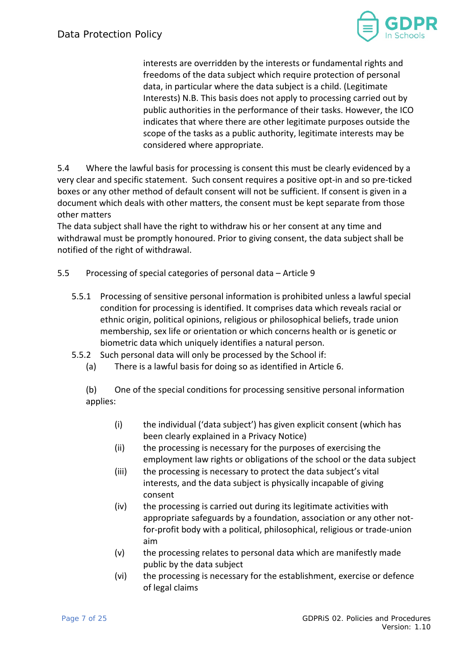

interests are overridden by the interests or fundamental rights and freedoms of the data subject which require protection of personal data, in particular where the data subject is a child. (Legitimate Interests) N.B. This basis does not apply to processing carried out by public authorities in the performance of their tasks. However, the ICO indicates that where there are other legitimate purposes outside the scope of the tasks as a public authority, legitimate interests may be considered where appropriate.

5.4 Where the lawful basis for processing is consent this must be clearly evidenced by a very clear and specific statement. Such consent requires a positive opt-in and so pre-ticked boxes or any other method of default consent will not be sufficient. If consent is given in a document which deals with other matters, the consent must be kept separate from those other matters

The data subject shall have the right to withdraw his or her consent at any time and withdrawal must be promptly honoured. Prior to giving consent, the data subject shall be notified of the right of withdrawal.

#### 5.5 Processing of special categories of personal data – Article 9

- 5.5.1 Processing of sensitive personal information is prohibited unless a lawful special condition for processing is identified. It comprises data which reveals racial or ethnic origin, political opinions, religious or philosophical beliefs, trade union membership, sex life or orientation or which concerns health or is genetic or biometric data which uniquely identifies a natural person.
- 5.5.2 Such personal data will only be processed by the School if:
	- (a) There is a lawful basis for doing so as identified in Article 6.

(b) One of the special conditions for processing sensitive personal information applies:

- (i) the individual ('data subject') has given explicit consent (which has been clearly explained in a Privacy Notice)
- (ii) the processing is necessary for the purposes of exercising the employment law rights or obligations of the school or the data subject
- (iii) the processing is necessary to protect the data subject's vital interests, and the data subject is physically incapable of giving consent
- (iv) the processing is carried out during its legitimate activities with appropriate safeguards by a foundation, association or any other notfor-profit body with a political, philosophical, religious or trade-union aim
- (v) the processing relates to personal data which are manifestly made public by the data subject
- (vi) the processing is necessary for the establishment, exercise or defence of legal claims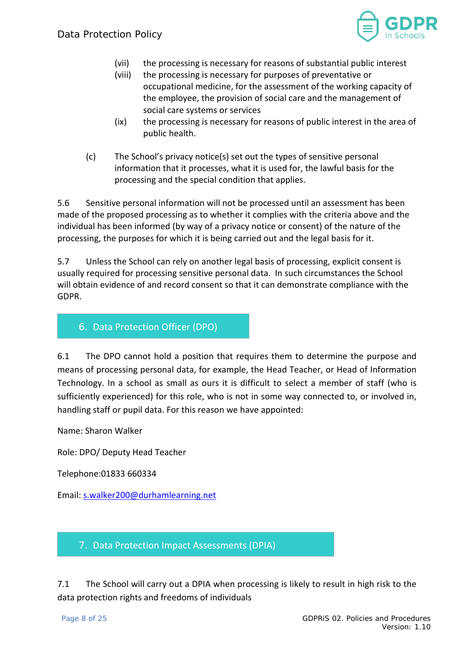

- (vii) the processing is necessary for reasons of substantial public interest
- (viii) the processing is necessary for purposes of preventative or occupational medicine, for the assessment of the working capacity of the employee, the provision of social care and the management of social care systems or services
- (ix) the processing is necessary for reasons of public interest in the area of public health.
- (c) The School's privacy notice(s) set out the types of sensitive personal information that it processes, what it is used for, the lawful basis for the processing and the special condition that applies.

5.6 Sensitive personal information will not be processed until an assessment has been made of the proposed processing as to whether it complies with the criteria above and the individual has been informed (by way of a privacy notice or consent) of the nature of the processing, the purposes for which it is being carried out and the legal basis for it.

5.7 Unless the School can rely on another legal basis of processing, explicit consent is usually required for processing sensitive personal data. In such circumstances the School will obtain evidence of and record consent so that it can demonstrate compliance with the GDPR.

## <span id="page-7-0"></span>6. Data Protection Officer (DPO)

6.1 The DPO cannot hold a position that requires them to determine the purpose and means of processing personal data, for example, the Head Teacher, or Head of Information Technology. In a school as small as ours it is difficult to select a member of staff (who is sufficiently experienced) for this role, who is not in some way connected to, or involved in, handling staff or pupil data. For this reason we have appointed:

Name: Sharon Walker

Role: DPO/ Deputy Head Teacher

Telephone:01833 660334

Email: [s.walker200@durhamlearning.net](mailto:s.walker200@durhamlearning.net)

## <span id="page-7-1"></span>7. Data Protection Impact Assessments (DPIA)

7.1 The School will carry out a DPIA when processing is likely to result in high risk to the data protection rights and freedoms of individuals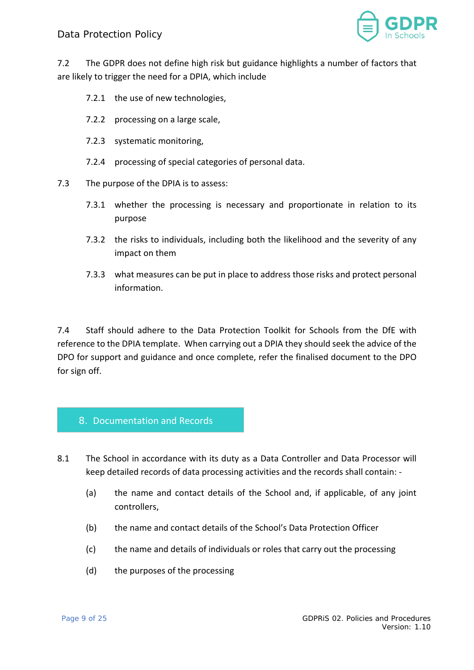

7.2 The GDPR does not define high risk but guidance highlights a number of factors that are likely to trigger the need for a DPIA, which include

- 7.2.1 the use of new technologies,
- 7.2.2 processing on a large scale,
- 7.2.3 systematic monitoring,
- 7.2.4 processing of special categories of personal data.
- 7.3 The purpose of the DPIA is to assess:
	- 7.3.1 whether the processing is necessary and proportionate in relation to its purpose
	- 7.3.2 the risks to individuals, including both the likelihood and the severity of any impact on them
	- 7.3.3 what measures can be put in place to address those risks and protect personal information.

7.4 Staff should adhere to the Data Protection Toolkit for Schools from the DfE with reference to the DPIA template. When carrying out a DPIA they should seek the advice of the DPO for support and guidance and once complete, refer the finalised document to the DPO for sign off.

#### <span id="page-8-0"></span>8. Documentation and Records

- 8.1 The School in accordance with its duty as a Data Controller and Data Processor will keep detailed records of data processing activities and the records shall contain: -
	- (a) the name and contact details of the School and, if applicable, of any joint controllers,
	- (b) the name and contact details of the School's Data Protection Officer
	- (c) the name and details of individuals or roles that carry out the processing
	- (d) the purposes of the processing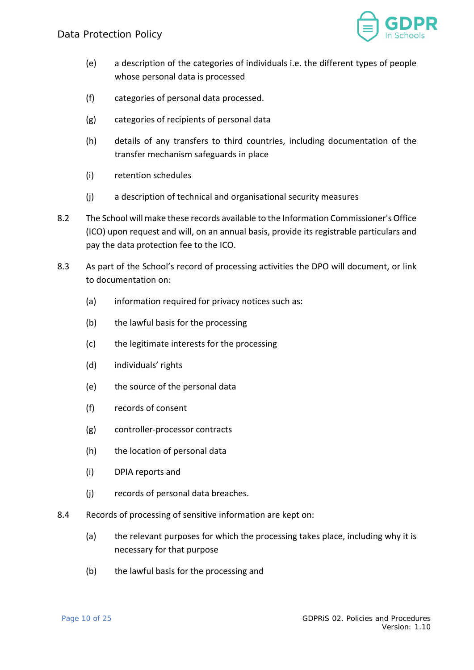

- (e) a description of the categories of individuals i.e. the different types of people whose personal data is processed
- (f) categories of personal data processed.
- (g) categories of recipients of personal data
- (h) details of any transfers to third countries, including documentation of the transfer mechanism safeguards in place
- (i) retention schedules
- (j) a description of technical and organisational security measures
- 8.2 The School will make these records available to the Information Commissioner's Office (ICO) upon request and will, on an annual basis, provide its registrable particulars and pay the data protection fee to the ICO.
- 8.3 As part of the School's record of processing activities the DPO will document, or link to documentation on:
	- (a) information required for privacy notices such as:
	- (b) the lawful basis for the processing
	- (c) the legitimate interests for the processing
	- (d) individuals' rights
	- (e) the source of the personal data
	- (f) records of consent
	- (g) controller-processor contracts
	- (h) the location of personal data
	- (i) DPIA reports and
	- (j) records of personal data breaches.
- 8.4 Records of processing of sensitive information are kept on:
	- (a) the relevant purposes for which the processing takes place, including why it is necessary for that purpose
	- (b) the lawful basis for the processing and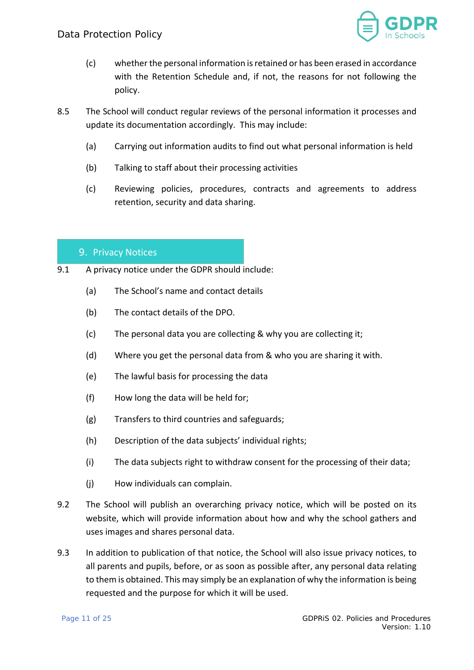

- (c) whether the personal information is retained or has been erased in accordance with the Retention Schedule and, if not, the reasons for not following the policy.
- 8.5 The School will conduct regular reviews of the personal information it processes and update its documentation accordingly. This may include:
	- (a) Carrying out information audits to find out what personal information is held
	- (b) Talking to staff about their processing activities
	- (c) Reviewing policies, procedures, contracts and agreements to address retention, security and data sharing.

#### <span id="page-10-0"></span>9. Privacy Notices

- 9.1 A privacy notice under the GDPR should include:
	- (a) The School's name and contact details
	- (b) The contact details of the DPO.
	- (c) The personal data you are collecting & why you are collecting it;
	- (d) Where you get the personal data from & who you are sharing it with.
	- (e) The lawful basis for processing the data
	- (f) How long the data will be held for;
	- (g) Transfers to third countries and safeguards;
	- (h) Description of the data subjects' individual rights;
	- (i) The data subjects right to withdraw consent for the processing of their data;
	- (j) How individuals can complain.
- 9.2 The School will publish an overarching privacy notice, which will be posted on its website, which will provide information about how and why the school gathers and uses images and shares personal data.
- 9.3 In addition to publication of that notice, the School will also issue privacy notices, to all parents and pupils, before, or as soon as possible after, any personal data relating to them is obtained. This may simply be an explanation of why the information is being requested and the purpose for which it will be used.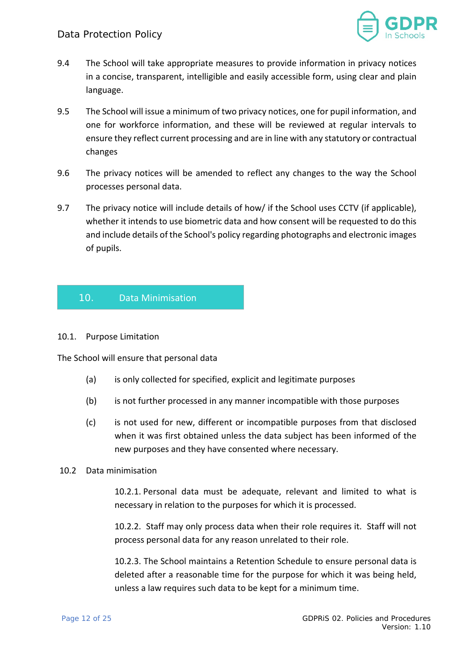

- 9.4 The School will take appropriate measures to provide information in privacy notices in a concise, transparent, intelligible and easily accessible form, using clear and plain language.
- 9.5 The School will issue a minimum of two privacy notices, one for pupil information, and one for workforce information, and these will be reviewed at regular intervals to ensure they reflect current processing and are in line with any statutory or contractual changes
- 9.6 The privacy notices will be amended to reflect any changes to the way the School processes personal data.
- 9.7 The privacy notice will include details of how/ if the School uses CCTV (if applicable), whether it intends to use biometric data and how consent will be requested to do this and include details of the School's policy regarding photographs and electronic images of pupils.

## <span id="page-11-0"></span>10. Data Minimisation

#### 10.1. Purpose Limitation

The School will ensure that personal data

- (a) is only collected for specified, explicit and legitimate purposes
- (b) is not further processed in any manner incompatible with those purposes
- (c) is not used for new, different or incompatible purposes from that disclosed when it was first obtained unless the data subject has been informed of the new purposes and they have consented where necessary.

#### 10.2 Data minimisation

10.2.1. Personal data must be adequate, relevant and limited to what is necessary in relation to the purposes for which it is processed.

10.2.2. Staff may only process data when their role requires it. Staff will not process personal data for any reason unrelated to their role.

10.2.3. The School maintains a Retention Schedule to ensure personal data is deleted after a reasonable time for the purpose for which it was being held, unless a law requires such data to be kept for a minimum time.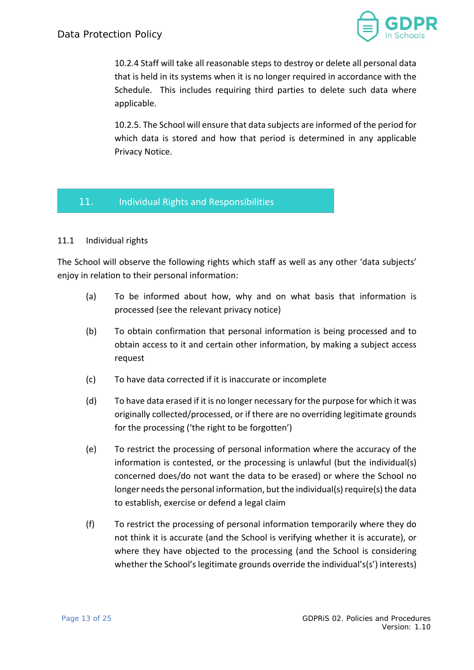

10.2.4 Staff will take all reasonable steps to destroy or delete all personal data that is held in its systems when it is no longer required in accordance with the Schedule. This includes requiring third parties to delete such data where applicable.

10.2.5. The School will ensure that data subjects are informed of the period for which data is stored and how that period is determined in any applicable Privacy Notice.

## <span id="page-12-0"></span>11. Individual Rights and Responsibilities

#### 11.1 Individual rights

The School will observe the following rights which staff as well as any other 'data subjects' enjoy in relation to their personal information:

- (a) To be informed about how, why and on what basis that information is processed (see the relevant privacy notice)
- (b) To obtain confirmation that personal information is being processed and to obtain access to it and certain other information, by making a subject access request
- (c) To have data corrected if it is inaccurate or incomplete
- (d) To have data erased if it is no longer necessary for the purpose for which it was originally collected/processed, or if there are no overriding legitimate grounds for the processing ('the right to be forgotten')
- (e) To restrict the processing of personal information where the accuracy of the information is contested, or the processing is unlawful (but the individual(s) concerned does/do not want the data to be erased) or where the School no longer needs the personal information, but the individual(s) require(s) the data to establish, exercise or defend a legal claim
- (f) To restrict the processing of personal information temporarily where they do not think it is accurate (and the School is verifying whether it is accurate), or where they have objected to the processing (and the School is considering whether the School's legitimate grounds override the individual's(s') interests)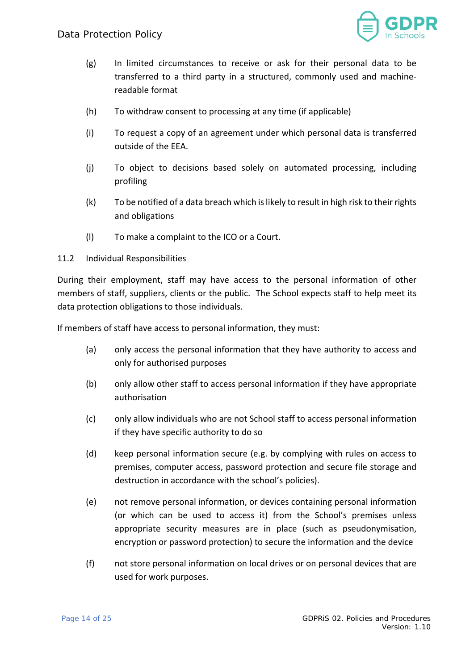

- (g) In limited circumstances to receive or ask for their personal data to be transferred to a third party in a structured, commonly used and machinereadable format
- (h) To withdraw consent to processing at any time (if applicable)
- (i) To request a copy of an agreement under which personal data is transferred outside of the EEA.
- (j) To object to decisions based solely on automated processing, including profiling
- (k) To be notified of a data breach which is likely to result in high risk to their rights and obligations
- (l) To make a complaint to the ICO or a Court.
- 11.2 Individual Responsibilities

During their employment, staff may have access to the personal information of other members of staff, suppliers, clients or the public. The School expects staff to help meet its data protection obligations to those individuals.

If members of staff have access to personal information, they must:

- (a) only access the personal information that they have authority to access and only for authorised purposes
- (b) only allow other staff to access personal information if they have appropriate authorisation
- (c) only allow individuals who are not School staff to access personal information if they have specific authority to do so
- (d) keep personal information secure (e.g. by complying with rules on access to premises, computer access, password protection and secure file storage and destruction in accordance with the school's policies).
- (e) not remove personal information, or devices containing personal information (or which can be used to access it) from the School's premises unless appropriate security measures are in place (such as pseudonymisation, encryption or password protection) to secure the information and the device
- (f) not store personal information on local drives or on personal devices that are used for work purposes.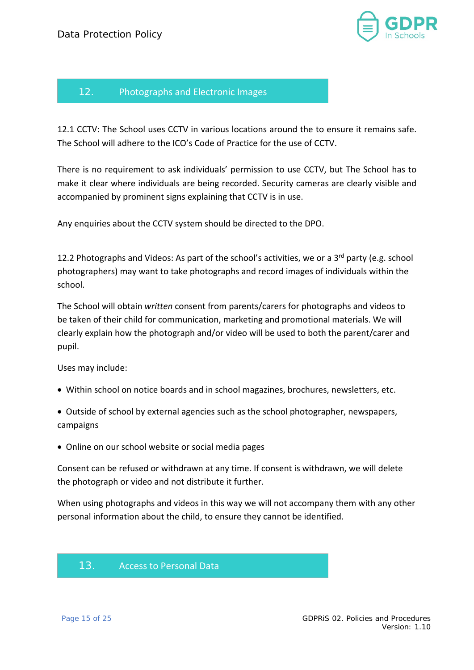

# <span id="page-14-0"></span>12. Photographs and Electronic Images

12.1 CCTV: The School uses CCTV in various locations around the to ensure it remains safe. The School will adhere to the ICO's Code of Practice for the use of CCTV.

There is no requirement to ask individuals' permission to use CCTV, but The School has to make it clear where individuals are being recorded. Security cameras are clearly visible and accompanied by prominent signs explaining that CCTV is in use.

Any enquiries about the CCTV system should be directed to the DPO.

12.2 Photographs and Videos: As part of the school's activities, we or a 3<sup>rd</sup> party (e.g. school photographers) may want to take photographs and record images of individuals within the school.

The School will obtain *written* consent from parents/carers for photographs and videos to be taken of their child for communication, marketing and promotional materials. We will clearly explain how the photograph and/or video will be used to both the parent/carer and pupil.

Uses may include:

- Within school on notice boards and in school magazines, brochures, newsletters, etc.
- Outside of school by external agencies such as the school photographer, newspapers, campaigns
- Online on our school website or social media pages

Consent can be refused or withdrawn at any time. If consent is withdrawn, we will delete the photograph or video and not distribute it further.

When using photographs and videos in this way we will not accompany them with any other personal information about the child, to ensure they cannot be identified.

## <span id="page-14-1"></span>13. Access to Personal Data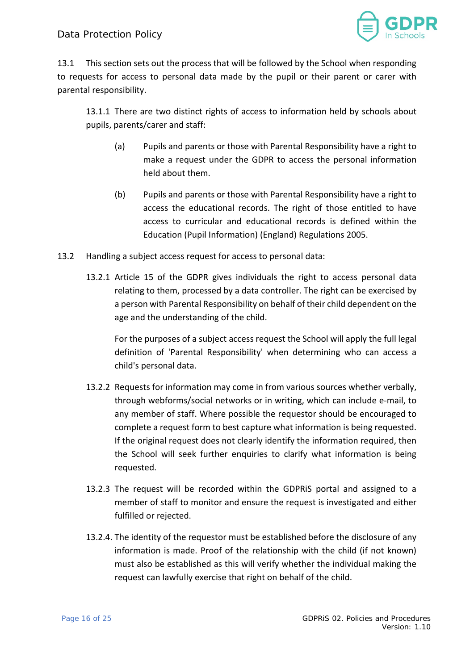

13.1 This section sets out the process that will be followed by the School when responding to requests for access to personal data made by the pupil or their parent or carer with parental responsibility.

13.1.1 There are two distinct rights of access to information held by schools about pupils, parents/carer and staff:

- (a) Pupils and parents or those with Parental Responsibility have a right to make a request under the GDPR to access the personal information held about them.
- (b) Pupils and parents or those with Parental Responsibility have a right to access the educational records. The right of those entitled to have access to curricular and educational records is defined within the Education (Pupil Information) (England) Regulations 2005.
- 13.2 Handling a subject access request for access to personal data:
	- 13.2.1 Article 15 of the GDPR gives individuals the right to access personal data relating to them, processed by a data controller. The right can be exercised by a person with Parental Responsibility on behalf of their child dependent on the age and the understanding of the child.

For the purposes of a subject access request the School will apply the full legal definition of 'Parental Responsibility' when determining who can access a child's personal data.

- 13.2.2 Requests for information may come in from various sources whether verbally, through webforms/social networks or in writing, which can include e-mail, to any member of staff. Where possible the requestor should be encouraged to complete a request form to best capture what information is being requested. If the original request does not clearly identify the information required, then the School will seek further enquiries to clarify what information is being requested.
- 13.2.3 The request will be recorded within the GDPRiS portal and assigned to a member of staff to monitor and ensure the request is investigated and either fulfilled or rejected.
- 13.2.4. The identity of the requestor must be established before the disclosure of any information is made. Proof of the relationship with the child (if not known) must also be established as this will verify whether the individual making the request can lawfully exercise that right on behalf of the child.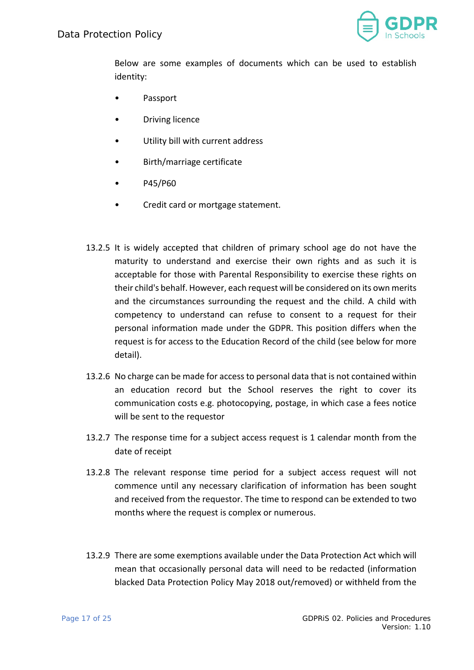

Below are some examples of documents which can be used to establish identity:

- Passport
- **Driving licence**
- Utility bill with current address
- Birth/marriage certificate
- P45/P60
- Credit card or mortgage statement.
- 13.2.5 It is widely accepted that children of primary school age do not have the maturity to understand and exercise their own rights and as such it is acceptable for those with Parental Responsibility to exercise these rights on their child's behalf. However, each request will be considered on its own merits and the circumstances surrounding the request and the child. A child with competency to understand can refuse to consent to a request for their personal information made under the GDPR. This position differs when the request is for access to the Education Record of the child (see below for more detail).
- 13.2.6 No charge can be made for access to personal data that is not contained within an education record but the School reserves the right to cover its communication costs e.g. photocopying, postage, in which case a fees notice will be sent to the requestor
- 13.2.7 The response time for a subject access request is 1 calendar month from the date of receipt
- 13.2.8 The relevant response time period for a subject access request will not commence until any necessary clarification of information has been sought and received from the requestor. The time to respond can be extended to two months where the request is complex or numerous.
- 13.2.9 There are some exemptions available under the Data Protection Act which will mean that occasionally personal data will need to be redacted (information blacked Data Protection Policy May 2018 out/removed) or withheld from the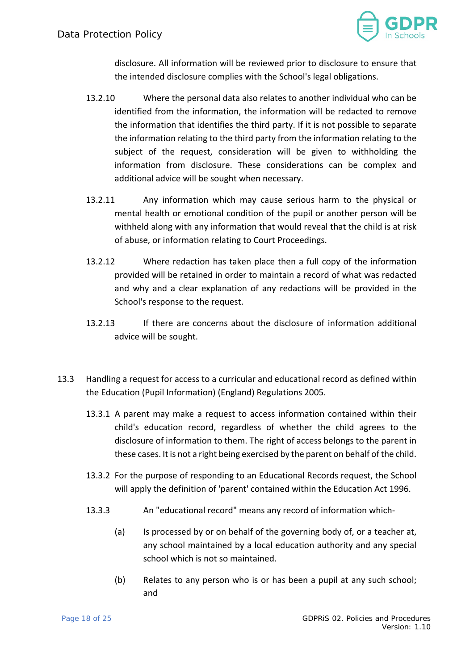

disclosure. All information will be reviewed prior to disclosure to ensure that the intended disclosure complies with the School's legal obligations.

- 13.2.10 Where the personal data also relates to another individual who can be identified from the information, the information will be redacted to remove the information that identifies the third party. If it is not possible to separate the information relating to the third party from the information relating to the subject of the request, consideration will be given to withholding the information from disclosure. These considerations can be complex and additional advice will be sought when necessary.
- 13.2.11 Any information which may cause serious harm to the physical or mental health or emotional condition of the pupil or another person will be withheld along with any information that would reveal that the child is at risk of abuse, or information relating to Court Proceedings.
- 13.2.12 Where redaction has taken place then a full copy of the information provided will be retained in order to maintain a record of what was redacted and why and a clear explanation of any redactions will be provided in the School's response to the request.
- 13.2.13 If there are concerns about the disclosure of information additional advice will be sought.
- 13.3 Handling a request for access to a curricular and educational record as defined within the Education (Pupil Information) (England) Regulations 2005.
	- 13.3.1 A parent may make a request to access information contained within their child's education record, regardless of whether the child agrees to the disclosure of information to them. The right of access belongs to the parent in these cases. It is not a right being exercised by the parent on behalf of the child.
	- 13.3.2 For the purpose of responding to an Educational Records request, the School will apply the definition of 'parent' contained within the Education Act 1996.
	- 13.3.3 An "educational record" means any record of information which-
		- (a) Is processed by or on behalf of the governing body of, or a teacher at, any school maintained by a local education authority and any special school which is not so maintained.
		- (b) Relates to any person who is or has been a pupil at any such school; and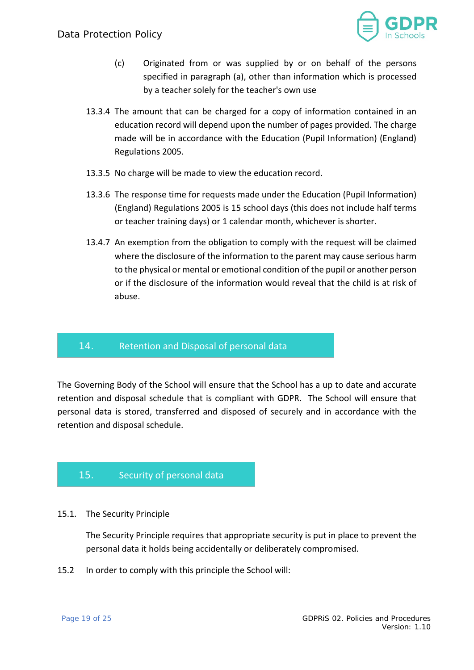

- (c) Originated from or was supplied by or on behalf of the persons specified in paragraph (a), other than information which is processed by a teacher solely for the teacher's own use
- 13.3.4 The amount that can be charged for a copy of information contained in an education record will depend upon the number of pages provided. The charge made will be in accordance with the Education (Pupil Information) (England) Regulations 2005.
- 13.3.5 No charge will be made to view the education record.
- 13.3.6 The response time for requests made under the Education (Pupil Information) (England) Regulations 2005 is 15 school days (this does not include half terms or teacher training days) or 1 calendar month, whichever is shorter.
- 13.4.7 An exemption from the obligation to comply with the request will be claimed where the disclosure of the information to the parent may cause serious harm to the physical or mental or emotional condition of the pupil or another person or if the disclosure of the information would reveal that the child is at risk of abuse.

## <span id="page-18-0"></span>14. Retention and Disposal of personal data

The Governing Body of the School will ensure that the School has a up to date and accurate retention and disposal schedule that is compliant with GDPR. The School will ensure that personal data is stored, transferred and disposed of securely and in accordance with the retention and disposal schedule.

# <span id="page-18-1"></span>15. Security of personal data

#### 15.1. The Security Principle

The Security Principle requires that appropriate security is put in place to prevent the personal data it holds being accidentally or deliberately compromised.

15.2 In order to comply with this principle the School will: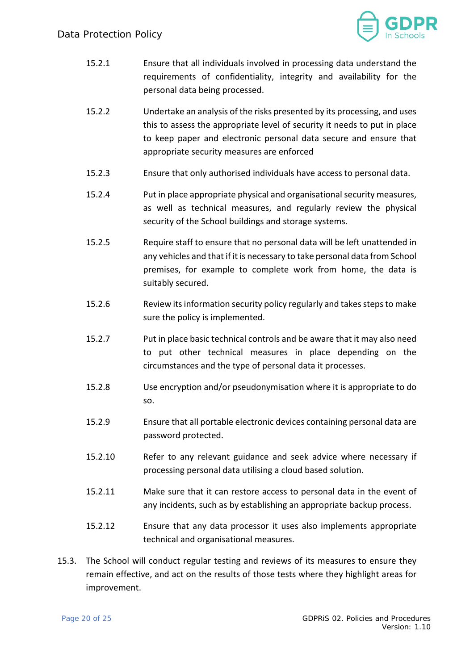

- 15.2.1 Ensure that all individuals involved in processing data understand the requirements of confidentiality, integrity and availability for the personal data being processed.
- 15.2.2 Undertake an analysis of the risks presented by its processing, and uses this to assess the appropriate level of security it needs to put in place to keep paper and electronic personal data secure and ensure that appropriate security measures are enforced
- 15.2.3 Ensure that only authorised individuals have access to personal data.
- 15.2.4 Put in place appropriate physical and organisational security measures, as well as technical measures, and regularly review the physical security of the School buildings and storage systems.
- 15.2.5 Require staff to ensure that no personal data will be left unattended in any vehicles and that if it is necessary to take personal data from School premises, for example to complete work from home, the data is suitably secured.
- 15.2.6 Review its information security policy regularly and takes steps to make sure the policy is implemented.
- 15.2.7 Put in place basic technical controls and be aware that it may also need to put other technical measures in place depending on the circumstances and the type of personal data it processes.
- 15.2.8 Use encryption and/or pseudonymisation where it is appropriate to do so.
- 15.2.9 Ensure that all portable electronic devices containing personal data are password protected.
- 15.2.10 Refer to any relevant guidance and seek advice where necessary if processing personal data utilising a cloud based solution.
- 15.2.11 Make sure that it can restore access to personal data in the event of any incidents, such as by establishing an appropriate backup process.
- 15.2.12 Ensure that any data processor it uses also implements appropriate technical and organisational measures.
- 15.3. The School will conduct regular testing and reviews of its measures to ensure they remain effective, and act on the results of those tests where they highlight areas for improvement.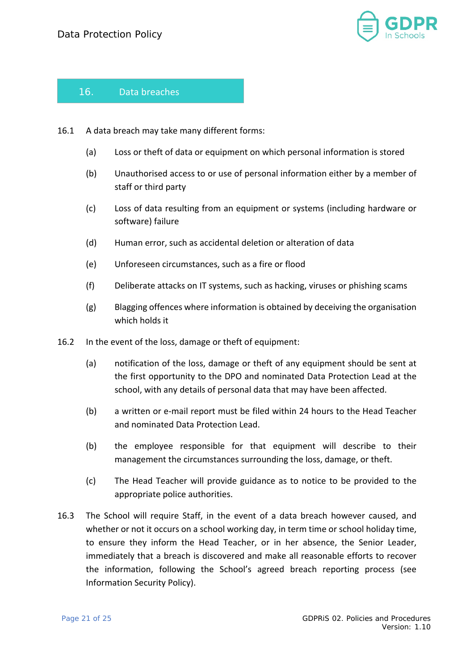

# <span id="page-20-0"></span>16. Data breaches

- 16.1 A data breach may take many different forms:
	- (a) Loss or theft of data or equipment on which personal information is stored
	- (b) Unauthorised access to or use of personal information either by a member of staff or third party
	- (c) Loss of data resulting from an equipment or systems (including hardware or software) failure
	- (d) Human error, such as accidental deletion or alteration of data
	- (e) Unforeseen circumstances, such as a fire or flood
	- (f) Deliberate attacks on IT systems, such as hacking, viruses or phishing scams
	- (g) Blagging offences where information is obtained by deceiving the organisation which holds it
- 16.2 In the event of the loss, damage or theft of equipment:
	- (a) notification of the loss, damage or theft of any equipment should be sent at the first opportunity to the DPO and nominated Data Protection Lead at the school, with any details of personal data that may have been affected.
	- (b) a written or e-mail report must be filed within 24 hours to the Head Teacher and nominated Data Protection Lead.
	- (b) the employee responsible for that equipment will describe to their management the circumstances surrounding the loss, damage, or theft.
	- (c) The Head Teacher will provide guidance as to notice to be provided to the appropriate police authorities.
- 16.3 The School will require Staff, in the event of a data breach however caused, and whether or not it occurs on a school working day, in term time or school holiday time, to ensure they inform the Head Teacher, or in her absence, the Senior Leader, immediately that a breach is discovered and make all reasonable efforts to recover the information, following the School's agreed breach reporting process (see Information Security Policy).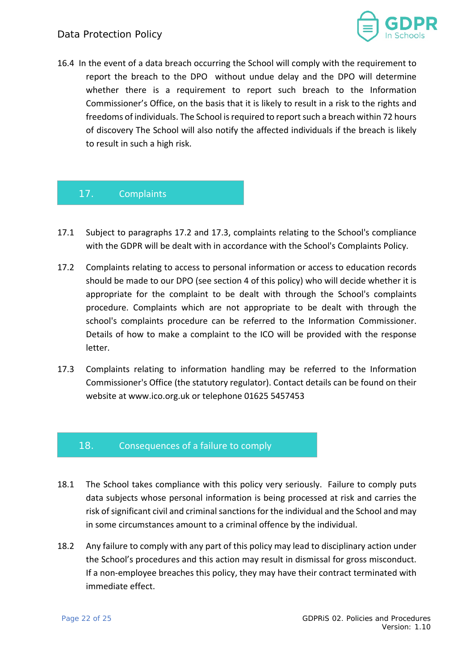

16.4 In the event of a data breach occurring the School will comply with the requirement to report the breach to the DPO without undue delay and the DPO will determine whether there is a requirement to report such breach to the Information Commissioner's Office, on the basis that it is likely to result in a risk to the rights and freedoms of individuals. The School is required to report such a breach within 72 hours of discovery The School will also notify the affected individuals if the breach is likely to result in such a high risk.

# <span id="page-21-0"></span>17. Complaints

- 17.1 Subject to paragraphs 17.2 and 17.3, complaints relating to the School's compliance with the GDPR will be dealt with in accordance with the School's Complaints Policy.
- 17.2 Complaints relating to access to personal information or access to education records should be made to our DPO (see section 4 of this policy) who will decide whether it is appropriate for the complaint to be dealt with through the School's complaints procedure. Complaints which are not appropriate to be dealt with through the school's complaints procedure can be referred to the Information Commissioner. Details of how to make a complaint to the ICO will be provided with the response letter.
- 17.3 Complaints relating to information handling may be referred to the Information Commissioner's Office (the statutory regulator). Contact details can be found on their website at www.ico.org.uk or telephone 01625 5457453

## <span id="page-21-1"></span>18. Consequences of a failure to comply

- 18.1 The School takes compliance with this policy very seriously. Failure to comply puts data subjects whose personal information is being processed at risk and carries the risk of significant civil and criminal sanctions for the individual and the School and may in some circumstances amount to a criminal offence by the individual.
- 18.2 Any failure to comply with any part of this policy may lead to disciplinary action under the School's procedures and this action may result in dismissal for gross misconduct. If a non-employee breaches this policy, they may have their contract terminated with immediate effect.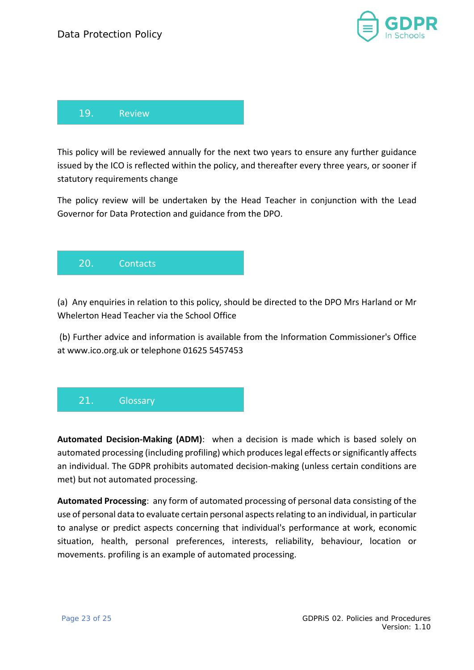

<span id="page-22-0"></span>

This policy will be reviewed annually for the next two years to ensure any further guidance issued by the ICO is reflected within the policy, and thereafter every three years, or sooner if statutory requirements change

The policy review will be undertaken by the Head Teacher in conjunction with the Lead Governor for Data Protection and guidance from the DPO.

<span id="page-22-1"></span>

(a) Any enquiries in relation to this policy, should be directed to the DPO Mrs Harland or Mr Whelerton Head Teacher via the School Office

(b) Further advice and information is available from the Information Commissioner's Office at www.ico.org.uk or telephone 01625 5457453

# <span id="page-22-2"></span>21. Glossary

**Automated Decision-Making (ADM)**: when a decision is made which is based solely on automated processing (including profiling) which produces legal effects or significantly affects an individual. The GDPR prohibits automated decision-making (unless certain conditions are met) but not automated processing.

**Automated Processing**: any form of automated processing of personal data consisting of the use of personal data to evaluate certain personal aspects relating to an individual, in particular to analyse or predict aspects concerning that individual's performance at work, economic situation, health, personal preferences, interests, reliability, behaviour, location or movements. profiling is an example of automated processing.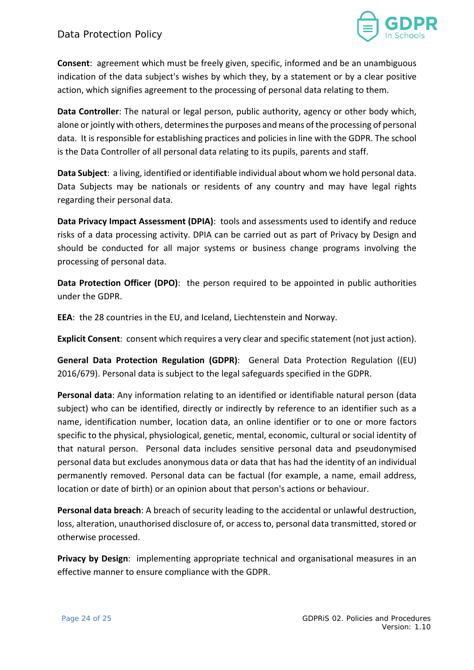

**Consent**: agreement which must be freely given, specific, informed and be an unambiguous indication of the data subject's wishes by which they, by a statement or by a clear positive action, which signifies agreement to the processing of personal data relating to them.

**Data Controller**: The natural or legal person, public authority, agency or other body which, alone or jointly with others, determines the purposes and means of the processing of personal data. It is responsible for establishing practices and policies in line with the GDPR. The school is the Data Controller of all personal data relating to its pupils, parents and staff.

**Data Subject**: a living, identified or identifiable individual about whom we hold personal data. Data Subjects may be nationals or residents of any country and may have legal rights regarding their personal data.

**Data Privacy Impact Assessment (DPIA)**: tools and assessments used to identify and reduce risks of a data processing activity. DPIA can be carried out as part of Privacy by Design and should be conducted for all major systems or business change programs involving the processing of personal data.

**Data Protection Officer (DPO)**: the person required to be appointed in public authorities under the GDPR.

**EEA**: the 28 countries in the EU, and Iceland, Liechtenstein and Norway.

**Explicit Consent**: consent which requires a very clear and specific statement (not just action).

**General Data Protection Regulation (GDPR)**: General Data Protection Regulation ((EU) 2016/679). Personal data is subject to the legal safeguards specified in the GDPR.

**Personal data**: Any information relating to an identified or identifiable natural person (data subject) who can be identified, directly or indirectly by reference to an identifier such as a name, identification number, location data, an online identifier or to one or more factors specific to the physical, physiological, genetic, mental, economic, cultural or social identity of that natural person. Personal data includes sensitive personal data and pseudonymised personal data but excludes anonymous data or data that has had the identity of an individual permanently removed. Personal data can be factual (for example, a name, email address, location or date of birth) or an opinion about that person's actions or behaviour.

**Personal data breach**: A breach of security leading to the accidental or unlawful destruction, loss, alteration, unauthorised disclosure of, or access to, personal data transmitted, stored or otherwise processed.

**Privacy by Design:** implementing appropriate technical and organisational measures in an effective manner to ensure compliance with the GDPR.